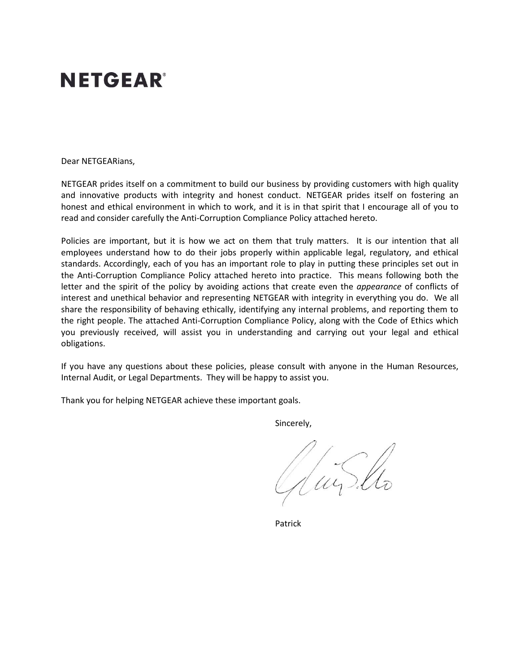# **NETGEAR®**

Dear NETGEARians,

NETGEAR prides itself on a commitment to build our business by providing customers with high quality and innovative products with integrity and honest conduct. NETGEAR prides itself on fostering an honest and ethical environment in which to work, and it is in that spirit that I encourage all of you to read and consider carefully the Anti-Corruption Compliance Policy attached hereto.

Policies are important, but it is how we act on them that truly matters. It is our intention that all employees understand how to do their jobs properly within applicable legal, regulatory, and ethical standards. Accordingly, each of you has an important role to play in putting these principles set out in the Anti-Corruption Compliance Policy attached hereto into practice. This means following both the letter and the spirit of the policy by avoiding actions that create even the *appearance* of conflicts of interest and unethical behavior and representing NETGEAR with integrity in everything you do. We all share the responsibility of behaving ethically, identifying any internal problems, and reporting them to the right people. The attached Anti-Corruption Compliance Policy, along with the Code of Ethics which you previously received, will assist you in understanding and carrying out your legal and ethical obligations.

If you have any questions about these policies, please consult with anyone in the Human Resources, Internal Audit, or Legal Departments. They will be happy to assist you.

Thank you for helping NETGEAR achieve these important goals.

Sincerely,

Juis lla

Patrick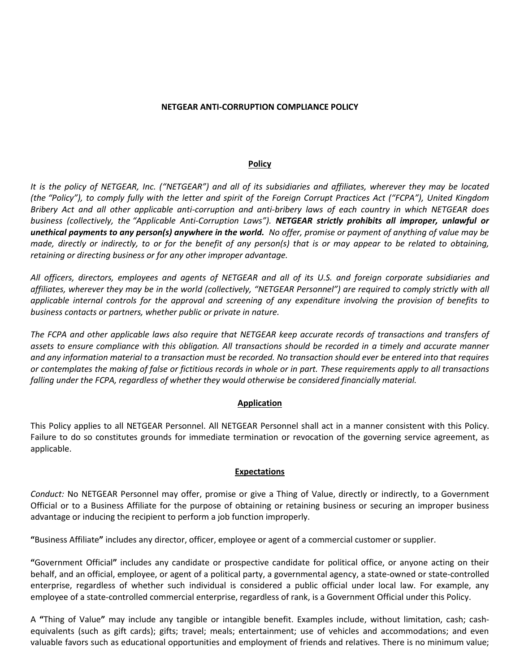### **NETGEAR ANTI-CORRUPTION COMPLIANCE POLICY**

#### **Policy**

*It is the policy of NETGEAR, Inc. ("NETGEAR") and all of its subsidiaries and affiliates, wherever they may be located (the "Policy"), to comply fully with the letter and spirit of the Foreign Corrupt Practices Act ("FCPA"), United Kingdom Bribery Act and all other applicable anti-corruption and anti-bribery laws of each country in which NETGEAR does business (collectively, the "Applicable Anti-Corruption Laws"). NETGEAR strictly prohibits all improper, unlawful or unethical payments to any person(s) anywhere in the world. No offer, promise or payment of anything of value may be made, directly or indirectly, to or for the benefit of any person(s) that is or may appear to be related to obtaining, retaining or directing business or for any other improper advantage.* 

*All officers, directors, employees and agents of NETGEAR and all of its U.S. and foreign corporate subsidiaries and affiliates, wherever they may be in the world (collectively, "NETGEAR Personnel") are required to comply strictly with all applicable internal controls for the approval and screening of any expenditure involving the provision of benefits to business contacts or partners, whether public or private in nature.* 

*The FCPA and other applicable laws also require that NETGEAR keep accurate records of transactions and transfers of assets to ensure compliance with this obligation. All transactions should be recorded in a timely and accurate manner and any information material to a transaction must be recorded. No transaction should ever be entered into that requires or contemplates the making of false or fictitious records in whole or in part. These requirements apply to all transactions falling under the FCPA, regardless of whether they would otherwise be considered financially material.*

#### **Application**

This Policy applies to all NETGEAR Personnel. All NETGEAR Personnel shall act in a manner consistent with this Policy. Failure to do so constitutes grounds for immediate termination or revocation of the governing service agreement, as applicable.

## **Expectations**

*Conduct:* No NETGEAR Personnel may offer, promise or give a Thing of Value, directly or indirectly, to a Government Official or to a Business Affiliate for the purpose of obtaining or retaining business or securing an improper business advantage or inducing the recipient to perform a job function improperly.

**"**Business Affiliate**"** includes any director, officer, employee or agent of a commercial customer or supplier.

**"**Government Official**"** includes any candidate or prospective candidate for political office, or anyone acting on their behalf, and an official, employee, or agent of a political party, a governmental agency, a state-owned or state-controlled enterprise, regardless of whether such individual is considered a public official under local law. For example, any employee of a state-controlled commercial enterprise, regardless of rank, is a Government Official under this Policy.

A **"**Thing of Value**"** may include any tangible or intangible benefit. Examples include, without limitation, cash; cashequivalents (such as gift cards); gifts; travel; meals; entertainment; use of vehicles and accommodations; and even valuable favors such as educational opportunities and employment of friends and relatives. There is no minimum value;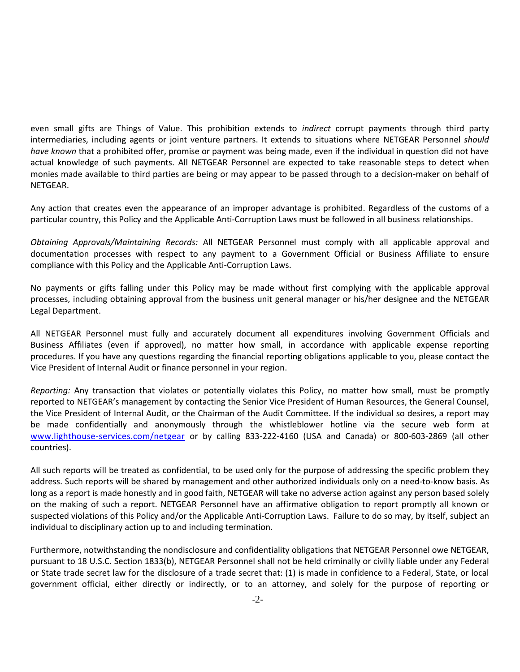even small gifts are Things of Value. This prohibition extends to *indirect* corrupt payments through third party intermediaries, including agents or joint venture partners. It extends to situations where NETGEAR Personnel *should have known* that a prohibited offer, promise or payment was being made, even if the individual in question did not have actual knowledge of such payments. All NETGEAR Personnel are expected to take reasonable steps to detect when monies made available to third parties are being or may appear to be passed through to a decision-maker on behalf of NETGEAR.

Any action that creates even the appearance of an improper advantage is prohibited. Regardless of the customs of a particular country, this Policy and the Applicable Anti-Corruption Laws must be followed in all business relationships.

*Obtaining Approvals/Maintaining Records:* All NETGEAR Personnel must comply with all applicable approval and documentation processes with respect to any payment to a Government Official or Business Affiliate to ensure compliance with this Policy and the Applicable Anti-Corruption Laws.

No payments or gifts falling under this Policy may be made without first complying with the applicable approval processes, including obtaining approval from the business unit general manager or his/her designee and the NETGEAR Legal Department.

All NETGEAR Personnel must fully and accurately document all expenditures involving Government Officials and Business Affiliates (even if approved), no matter how small, in accordance with applicable expense reporting procedures. If you have any questions regarding the financial reporting obligations applicable to you, please contact the Vice President of Internal Audit or finance personnel in your region.

*Reporting:* Any transaction that violates or potentially violates this Policy, no matter how small, must be promptly reported to NETGEAR's management by contacting the Senior Vice President of Human Resources, the General Counsel, the Vice President of Internal Audit, or the Chairman of the Audit Committee. If the individual so desires, a report may be made confidentially and anonymously through the whistleblower hotline via the secure web form at [www.lighthouse-services.com/netgear](http://www.lighthouse-services.com/netgear) or by calling 833-222-4160 (USA and Canada) or 800-603-2869 (all other countries).

All such reports will be treated as confidential, to be used only for the purpose of addressing the specific problem they address. Such reports will be shared by management and other authorized individuals only on a need-to-know basis. As long as a report is made honestly and in good faith, NETGEAR will take no adverse action against any person based solely on the making of such a report. NETGEAR Personnel have an affirmative obligation to report promptly all known or suspected violations of this Policy and/or the Applicable Anti-Corruption Laws. Failure to do so may, by itself, subject an individual to disciplinary action up to and including termination.

Furthermore, notwithstanding the nondisclosure and confidentiality obligations that NETGEAR Personnel owe NETGEAR, pursuant to 18 U.S.C. Section 1833(b), NETGEAR Personnel shall not be held criminally or civilly liable under any Federal or State trade secret law for the disclosure of a trade secret that: (1) is made in confidence to a Federal, State, or local government official, either directly or indirectly, or to an attorney, and solely for the purpose of reporting or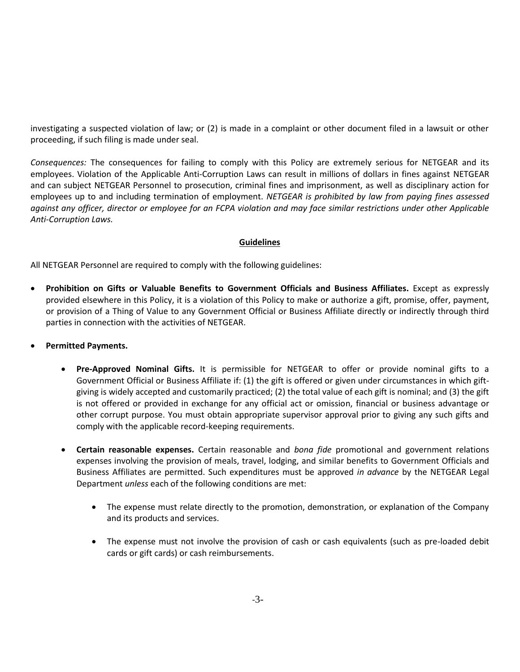investigating a suspected violation of law; or (2) is made in a complaint or other document filed in a lawsuit or other proceeding, if such filing is made under seal.

*Consequences:* The consequences for failing to comply with this Policy are extremely serious for NETGEAR and its employees. Violation of the Applicable Anti-Corruption Laws can result in millions of dollars in fines against NETGEAR and can subject NETGEAR Personnel to prosecution, criminal fines and imprisonment, as well as disciplinary action for employees up to and including termination of employment. *NETGEAR is prohibited by law from paying fines assessed against any officer, director or employee for an FCPA violation and may face similar restrictions under other Applicable Anti-Corruption Laws.* 

## **Guidelines**

All NETGEAR Personnel are required to comply with the following guidelines:

- **Prohibition on Gifts or Valuable Benefits to Government Officials and Business Affiliates.** Except as expressly provided elsewhere in this Policy, it is a violation of this Policy to make or authorize a gift, promise, offer, payment, or provision of a Thing of Value to any Government Official or Business Affiliate directly or indirectly through third parties in connection with the activities of NETGEAR.
- **Permitted Payments.** 
	- **Pre-Approved Nominal Gifts.** It is permissible for NETGEAR to offer or provide nominal gifts to a Government Official or Business Affiliate if: (1) the gift is offered or given under circumstances in which giftgiving is widely accepted and customarily practiced; (2) the total value of each gift is nominal; and (3) the gift is not offered or provided in exchange for any official act or omission, financial or business advantage or other corrupt purpose. You must obtain appropriate supervisor approval prior to giving any such gifts and comply with the applicable record-keeping requirements.
	- **Certain reasonable expenses.** Certain reasonable and *bona fide* promotional and government relations expenses involving the provision of meals, travel, lodging, and similar benefits to Government Officials and Business Affiliates are permitted. Such expenditures must be approved *in advance* by the NETGEAR Legal Department *unless* each of the following conditions are met:
		- The expense must relate directly to the promotion, demonstration, or explanation of the Company and its products and services.
		- The expense must not involve the provision of cash or cash equivalents (such as pre-loaded debit cards or gift cards) or cash reimbursements.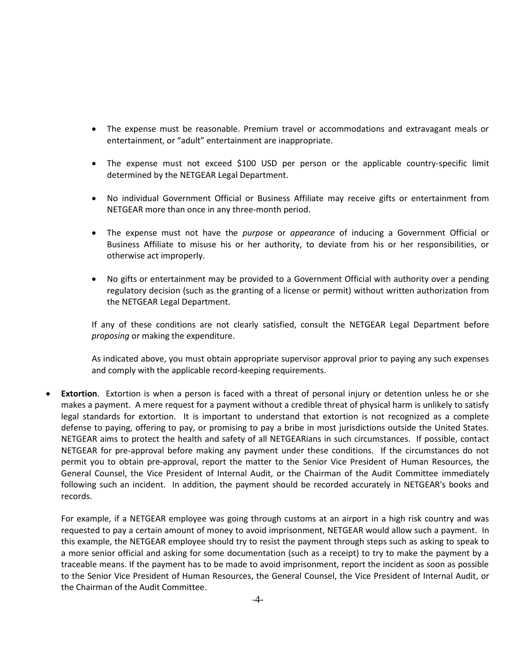- The expense must be reasonable. Premium travel or accommodations and extravagant meals or entertainment, or "adult" entertainment are inappropriate.
- The expense must not exceed \$100 USD per person or the applicable country-specific limit determined by the NETGEAR Legal Department.
- No individual Government Official or Business Affiliate may receive gifts or entertainment from NETGEAR more than once in any three-month period.
- The expense must not have the *purpose* or *appearance* of inducing a Government Official or Business Affiliate to misuse his or her authority, to deviate from his or her responsibilities, or otherwise act improperly.
- No gifts or entertainment may be provided to a Government Official with authority over a pending regulatory decision (such as the granting of a license or permit) without written authorization from the NETGEAR Legal Department.

If any of these conditions are not clearly satisfied, consult the NETGEAR Legal Department before *proposing* or making the expenditure.

As indicated above, you must obtain appropriate supervisor approval prior to paying any such expenses and comply with the applicable record-keeping requirements.

**Extortion**. Extortion is when a person is faced with a threat of personal injury or detention unless he or she makes a payment. A mere request for a payment without a credible threat of physical harm is unlikely to satisfy legal standards for extortion. It is important to understand that extortion is not recognized as a complete defense to paying, offering to pay, or promising to pay a bribe in most jurisdictions outside the United States. NETGEAR aims to protect the health and safety of all NETGEARians in such circumstances. If possible, contact NETGEAR for pre-approval before making any payment under these conditions. If the circumstances do not permit you to obtain pre-approval, report the matter to the Senior Vice President of Human Resources, the General Counsel, the Vice President of Internal Audit, or the Chairman of the Audit Committee immediately following such an incident. In addition, the payment should be recorded accurately in NETGEAR's books and records.

For example, if a NETGEAR employee was going through customs at an airport in a high risk country and was requested to pay a certain amount of money to avoid imprisonment, NETGEAR would allow such a payment. In this example, the NETGEAR employee should try to resist the payment through steps such as asking to speak to a more senior official and asking for some documentation (such as a receipt) to try to make the payment by a traceable means. If the payment has to be made to avoid imprisonment, report the incident as soon as possible to the Senior Vice President of Human Resources, the General Counsel, the Vice President of Internal Audit, or the Chairman of the Audit Committee.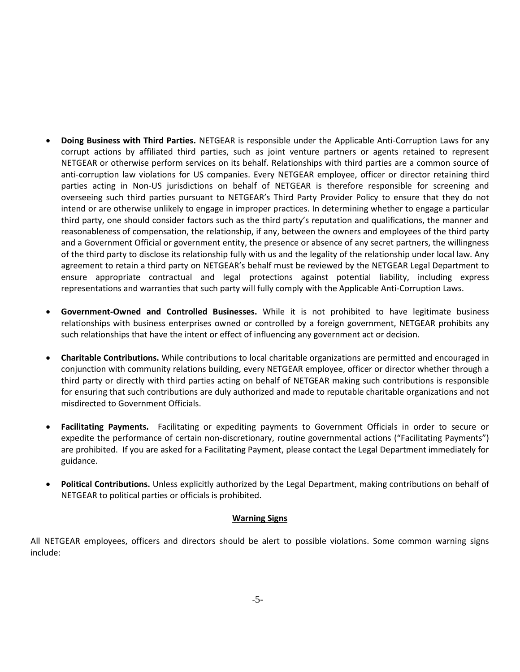- **Doing Business with Third Parties.** NETGEAR is responsible under the Applicable Anti-Corruption Laws for any corrupt actions by affiliated third parties, such as joint venture partners or agents retained to represent NETGEAR or otherwise perform services on its behalf. Relationships with third parties are a common source of anti-corruption law violations for US companies. Every NETGEAR employee, officer or director retaining third parties acting in Non-US jurisdictions on behalf of NETGEAR is therefore responsible for screening and overseeing such third parties pursuant to NETGEAR's Third Party Provider Policy to ensure that they do not intend or are otherwise unlikely to engage in improper practices. In determining whether to engage a particular third party, one should consider factors such as the third party's reputation and qualifications, the manner and reasonableness of compensation, the relationship, if any, between the owners and employees of the third party and a Government Official or government entity, the presence or absence of any secret partners, the willingness of the third party to disclose its relationship fully with us and the legality of the relationship under local law. Any agreement to retain a third party on NETGEAR's behalf must be reviewed by the NETGEAR Legal Department to ensure appropriate contractual and legal protections against potential liability, including express representations and warranties that such party will fully comply with the Applicable Anti-Corruption Laws.
- **Government-Owned and Controlled Businesses.** While it is not prohibited to have legitimate business relationships with business enterprises owned or controlled by a foreign government, NETGEAR prohibits any such relationships that have the intent or effect of influencing any government act or decision.
- **Charitable Contributions.** While contributions to local charitable organizations are permitted and encouraged in conjunction with community relations building, every NETGEAR employee, officer or director whether through a third party or directly with third parties acting on behalf of NETGEAR making such contributions is responsible for ensuring that such contributions are duly authorized and made to reputable charitable organizations and not misdirected to Government Officials.
- **Facilitating Payments.** Facilitating or expediting payments to Government Officials in order to secure or expedite the performance of certain non-discretionary, routine governmental actions ("Facilitating Payments") are prohibited. If you are asked for a Facilitating Payment, please contact the Legal Department immediately for guidance.
- **Political Contributions.** Unless explicitly authorized by the Legal Department, making contributions on behalf of NETGEAR to political parties or officials is prohibited.

# **Warning Signs**

All NETGEAR employees, officers and directors should be alert to possible violations. Some common warning signs include: